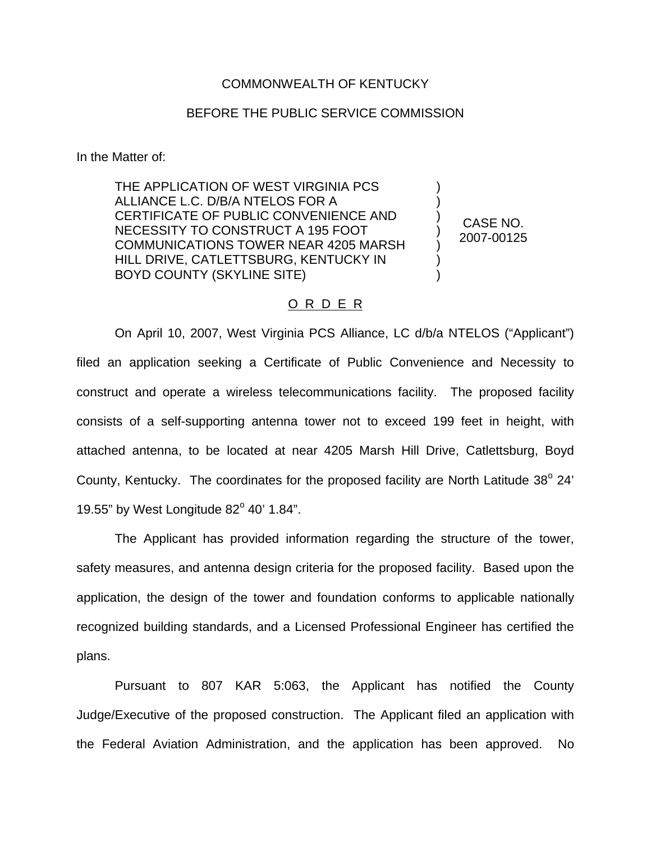## COMMONWEALTH OF KENTUCKY

## BEFORE THE PUBLIC SERVICE COMMISSION

In the Matter of:

THE APPLICATION OF WEST VIRGINIA PCS ALLIANCE L.C. D/B/A NTELOS FOR A CERTIFICATE OF PUBLIC CONVENIENCE AND NECESSITY TO CONSTRUCT A 195 FOOT COMMUNICATIONS TOWER NEAR 4205 MARSH HILL DRIVE, CATLETTSBURG, KENTUCKY IN BOYD COUNTY (SKYLINE SITE)

CASE NO. 2007-00125

) ) ) ) ) ) )

## O R D E R

On April 10, 2007, West Virginia PCS Alliance, LC d/b/a NTELOS ("Applicant") filed an application seeking a Certificate of Public Convenience and Necessity to construct and operate a wireless telecommunications facility. The proposed facility consists of a self-supporting antenna tower not to exceed 199 feet in height, with attached antenna, to be located at near 4205 Marsh Hill Drive, Catlettsburg, Boyd County, Kentucky. The coordinates for the proposed facility are North Latitude 38° 24' 19.55" by West Longitude  $82^{\circ}$  40' 1.84".

The Applicant has provided information regarding the structure of the tower, safety measures, and antenna design criteria for the proposed facility. Based upon the application, the design of the tower and foundation conforms to applicable nationally recognized building standards, and a Licensed Professional Engineer has certified the plans.

Pursuant to 807 KAR 5:063, the Applicant has notified the County Judge/Executive of the proposed construction. The Applicant filed an application with the Federal Aviation Administration, and the application has been approved. No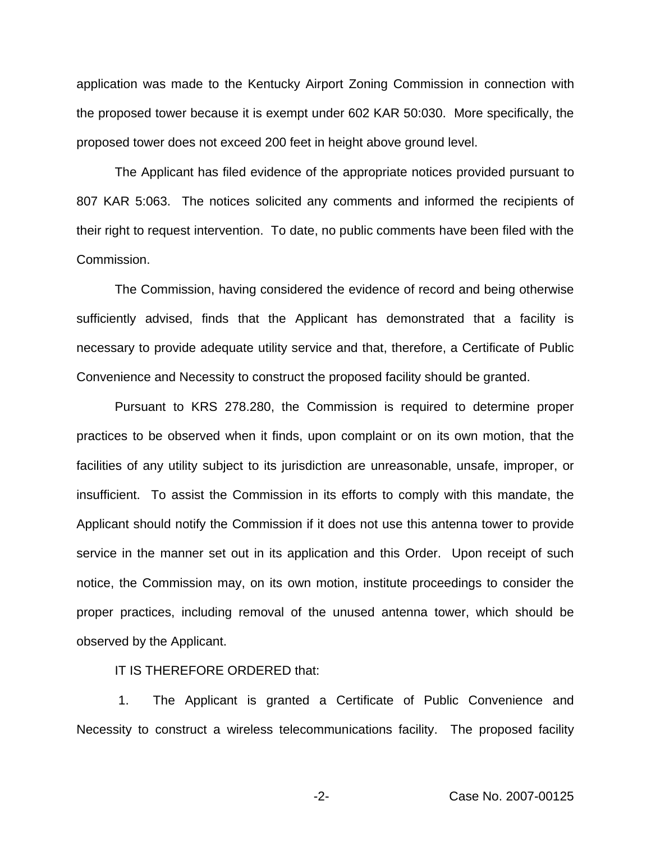application was made to the Kentucky Airport Zoning Commission in connection with the proposed tower because it is exempt under 602 KAR 50:030. More specifically, the proposed tower does not exceed 200 feet in height above ground level.

The Applicant has filed evidence of the appropriate notices provided pursuant to 807 KAR 5:063. The notices solicited any comments and informed the recipients of their right to request intervention. To date, no public comments have been filed with the Commission.

The Commission, having considered the evidence of record and being otherwise sufficiently advised, finds that the Applicant has demonstrated that a facility is necessary to provide adequate utility service and that, therefore, a Certificate of Public Convenience and Necessity to construct the proposed facility should be granted.

Pursuant to KRS 278.280, the Commission is required to determine proper practices to be observed when it finds, upon complaint or on its own motion, that the facilities of any utility subject to its jurisdiction are unreasonable, unsafe, improper, or insufficient. To assist the Commission in its efforts to comply with this mandate, the Applicant should notify the Commission if it does not use this antenna tower to provide service in the manner set out in its application and this Order. Upon receipt of such notice, the Commission may, on its own motion, institute proceedings to consider the proper practices, including removal of the unused antenna tower, which should be observed by the Applicant.

## IT IS THEREFORE ORDERED that:

1. The Applicant is granted a Certificate of Public Convenience and Necessity to construct a wireless telecommunications facility. The proposed facility